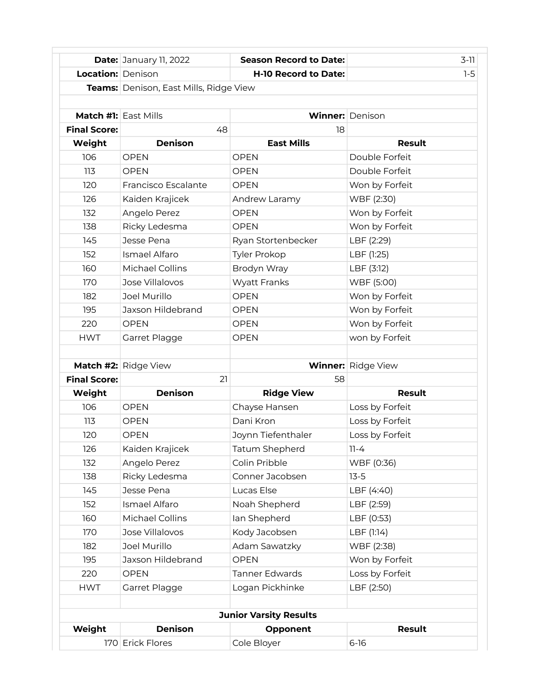|                               | <b>Date: January 11, 2022</b>          | <b>Season Record to Date:</b> | $3-11$                    |  |
|-------------------------------|----------------------------------------|-------------------------------|---------------------------|--|
| Location: Denison             |                                        | <b>H-10 Record to Date:</b>   | $1-5$                     |  |
|                               | Teams: Denison, East Mills, Ridge View |                               |                           |  |
|                               |                                        |                               |                           |  |
| <b>Match #1:</b> East Mills   |                                        |                               | <b>Winner:</b> Denison    |  |
| <b>Final Score:</b>           | 48                                     | 18                            |                           |  |
| Weight                        | <b>Denison</b>                         | <b>East Mills</b>             | <b>Result</b>             |  |
| 106                           | <b>OPEN</b>                            | <b>OPEN</b>                   | Double Forfeit            |  |
| 113                           | <b>OPEN</b>                            | <b>OPEN</b>                   | Double Forfeit            |  |
| 120                           | Francisco Escalante                    | <b>OPEN</b>                   | Won by Forfeit            |  |
| 126                           | Kaiden Krajicek                        | Andrew Laramy                 | WBF (2:30)                |  |
| 132                           | Angelo Perez                           | <b>OPEN</b>                   | Won by Forfeit            |  |
| 138                           | Ricky Ledesma                          | <b>OPEN</b>                   | Won by Forfeit            |  |
| 145                           | Jesse Pena                             | Ryan Stortenbecker            | LBF (2:29)                |  |
| 152                           | Ismael Alfaro                          | <b>Tyler Prokop</b>           | LBF (1:25)                |  |
| 160                           | Michael Collins                        | Brodyn Wray                   | LBF (3:12)                |  |
| 170                           | Jose Villalovos                        | <b>Wyatt Franks</b>           | WBF (5:00)                |  |
| 182                           | Joel Murillo                           | <b>OPEN</b>                   | Won by Forfeit            |  |
| 195                           | Jaxson Hildebrand                      | <b>OPEN</b>                   | Won by Forfeit            |  |
| 220                           | <b>OPEN</b>                            | <b>OPEN</b>                   | Won by Forfeit            |  |
| <b>HWT</b>                    | Garret Plagge                          | <b>OPEN</b>                   | won by Forfeit            |  |
|                               |                                        |                               |                           |  |
|                               | <b>Match #2:</b> Ridge View            |                               | <b>Winner:</b> Ridge View |  |
| <b>Final Score:</b>           | 21                                     | 58                            |                           |  |
| Weight                        | <b>Denison</b>                         | <b>Ridge View</b>             | <b>Result</b>             |  |
| 106                           | <b>OPEN</b>                            | Chayse Hansen                 | Loss by Forfeit           |  |
| 113                           | <b>OPEN</b>                            | Dani Kron                     | Loss by Forfeit           |  |
| 120                           | <b>OPEN</b>                            | Joynn Tiefenthaler            | Loss by Forfeit           |  |
| 126                           | Kaiden Krajicek                        | Tatum Shepherd                | 11-4                      |  |
| 132                           | Angelo Perez                           | Colin Pribble                 | WBF (0:36)                |  |
| 138                           | Ricky Ledesma                          | Conner Jacobsen               | $13 - 5$                  |  |
| 145                           | Jesse Pena                             | Lucas Else                    | LBF (4:40)                |  |
| 152                           | Ismael Alfaro                          | Noah Shepherd                 | LBF (2:59)                |  |
| 160                           | Michael Collins                        | lan Shepherd                  | LBF (0:53)                |  |
| 170                           | Jose Villalovos                        | Kody Jacobsen                 | LBF (1:14)                |  |
| 182                           | Joel Murillo                           | Adam Sawatzky                 | WBF (2:38)                |  |
| 195                           | Jaxson Hildebrand                      | <b>OPEN</b>                   | Won by Forfeit            |  |
| 220                           | <b>OPEN</b>                            | <b>Tanner Edwards</b>         | Loss by Forfeit           |  |
| <b>HWT</b>                    | Garret Plagge                          | Logan Pickhinke               | LBF (2:50)                |  |
|                               |                                        |                               |                           |  |
| <b>Junior Varsity Results</b> |                                        |                               |                           |  |
| Weight                        | <b>Denison</b>                         | Opponent                      | <b>Result</b>             |  |
|                               | 170 Erick Flores                       | Cole Bloyer                   | $6 - 16$                  |  |
|                               |                                        |                               |                           |  |